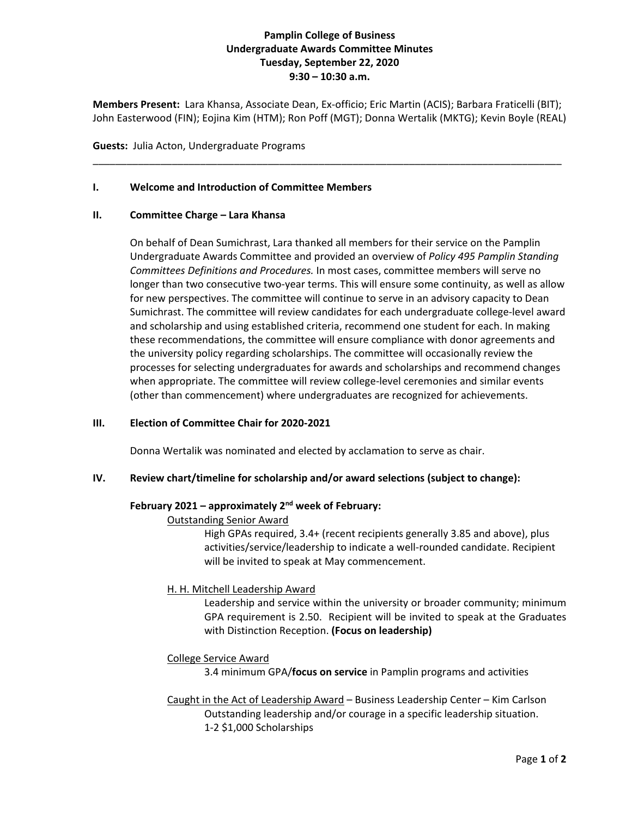# **Pamplin College of Business Undergraduate Awards Committee Minutes Tuesday, September 22, 2020 9:30 – 10:30 a.m.**

**Members Present:** Lara Khansa, Associate Dean, Ex-officio; Eric Martin (ACIS); Barbara Fraticelli (BIT); John Easterwood (FIN); Eojina Kim (HTM); Ron Poff (MGT); Donna Wertalik (MKTG); Kevin Boyle (REAL)

\_\_\_\_\_\_\_\_\_\_\_\_\_\_\_\_\_\_\_\_\_\_\_\_\_\_\_\_\_\_\_\_\_\_\_\_\_\_\_\_\_\_\_\_\_\_\_\_\_\_\_\_\_\_\_\_\_\_\_\_\_\_\_\_\_\_\_\_\_\_\_\_\_\_\_\_\_\_\_\_\_\_\_

**Guests:** Julia Acton, Undergraduate Programs

### **I. Welcome and Introduction of Committee Members**

### **II. Committee Charge – Lara Khansa**

On behalf of Dean Sumichrast, Lara thanked all members for their service on the Pamplin Undergraduate Awards Committee and provided an overview of *Policy 495 Pamplin Standing Committees Definitions and Procedures.* In most cases, committee members will serve no longer than two consecutive two-year terms. This will ensure some continuity, as well as allow for new perspectives. The committee will continue to serve in an advisory capacity to Dean Sumichrast. The committee will review candidates for each undergraduate college-level award and scholarship and using established criteria, recommend one student for each. In making these recommendations, the committee will ensure compliance with donor agreements and the university policy regarding scholarships. The committee will occasionally review the processes for selecting undergraduates for awards and scholarships and recommend changes when appropriate. The committee will review college-level ceremonies and similar events (other than commencement) where undergraduates are recognized for achievements.

### **III. Election of Committee Chair for 2020-2021**

Donna Wertalik was nominated and elected by acclamation to serve as chair.

### **IV. Review chart/timeline for scholarship and/or award selections (subject to change):**

### **February 2021 – approximately 2nd week of February:**

### Outstanding Senior Award

High GPAs required, 3.4+ (recent recipients generally 3.85 and above), plus activities/service/leadership to indicate a well-rounded candidate. Recipient will be invited to speak at May commencement.

## H. H. Mitchell Leadership Award

Leadership and service within the university or broader community; minimum GPA requirement is 2.50. Recipient will be invited to speak at the Graduates with Distinction Reception. **(Focus on leadership)**

## College Service Award

3.4 minimum GPA/**focus on service** in Pamplin programs and activities

Caught in the Act of Leadership Award – Business Leadership Center – Kim Carlson Outstanding leadership and/or courage in a specific leadership situation. 1-2 \$1,000 Scholarships